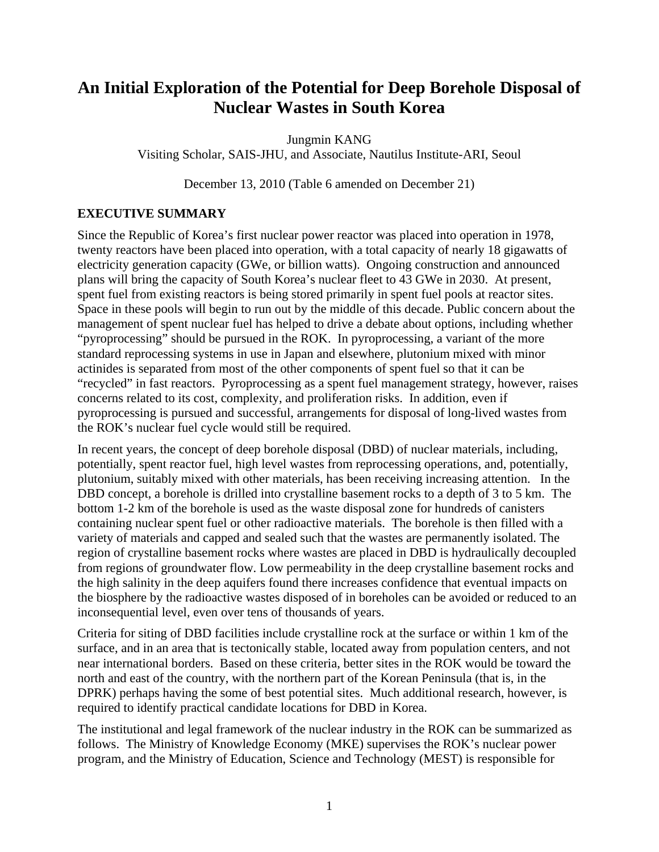# **An Initial Exploration of the Potential for Deep Borehole Disposal of Nuclear Wastes in South Korea**

Jungmin KANG

Visiting Scholar, SAIS-JHU, and Associate, Nautilus Institute-ARI, Seoul

December 13, 2010 (Table 6 amended on December 21)

# **EXECUTIVE SUMMARY**

Since the Republic of Korea's first nuclear power reactor was placed into operation in 1978, twenty reactors have been placed into operation, with a total capacity of nearly 18 gigawatts of electricity generation capacity (GWe, or billion watts). Ongoing construction and announced plans will bring the capacity of South Korea's nuclear fleet to 43 GWe in 2030. At present, spent fuel from existing reactors is being stored primarily in spent fuel pools at reactor sites. Space in these pools will begin to run out by the middle of this decade. Public concern about the management of spent nuclear fuel has helped to drive a debate about options, including whether "pyroprocessing" should be pursued in the ROK. In pyroprocessing, a variant of the more standard reprocessing systems in use in Japan and elsewhere, plutonium mixed with minor actinides is separated from most of the other components of spent fuel so that it can be "recycled" in fast reactors. Pyroprocessing as a spent fuel management strategy, however, raises concerns related to its cost, complexity, and proliferation risks. In addition, even if pyroprocessing is pursued and successful, arrangements for disposal of long-lived wastes from the ROK's nuclear fuel cycle would still be required.

In recent years, the concept of deep borehole disposal (DBD) of nuclear materials, including, potentially, spent reactor fuel, high level wastes from reprocessing operations, and, potentially, plutonium, suitably mixed with other materials, has been receiving increasing attention. In the DBD concept, a borehole is drilled into crystalline basement rocks to a depth of 3 to 5 km. The bottom 1-2 km of the borehole is used as the waste disposal zone for hundreds of canisters containing nuclear spent fuel or other radioactive materials. The borehole is then filled with a variety of materials and capped and sealed such that the wastes are permanently isolated. The region of crystalline basement rocks where wastes are placed in DBD is hydraulically decoupled from regions of groundwater flow. Low permeability in the deep crystalline basement rocks and the high salinity in the deep aquifers found there increases confidence that eventual impacts on the biosphere by the radioactive wastes disposed of in boreholes can be avoided or reduced to an inconsequential level, even over tens of thousands of years.

Criteria for siting of DBD facilities include crystalline rock at the surface or within 1 km of the surface, and in an area that is tectonically stable, located away from population centers, and not near international borders. Based on these criteria, better sites in the ROK would be toward the north and east of the country, with the northern part of the Korean Peninsula (that is, in the DPRK) perhaps having the some of best potential sites. Much additional research, however, is required to identify practical candidate locations for DBD in Korea.

The institutional and legal framework of the nuclear industry in the ROK can be summarized as follows. The Ministry of Knowledge Economy (MKE) supervises the ROK's nuclear power program, and the Ministry of Education, Science and Technology (MEST) is responsible for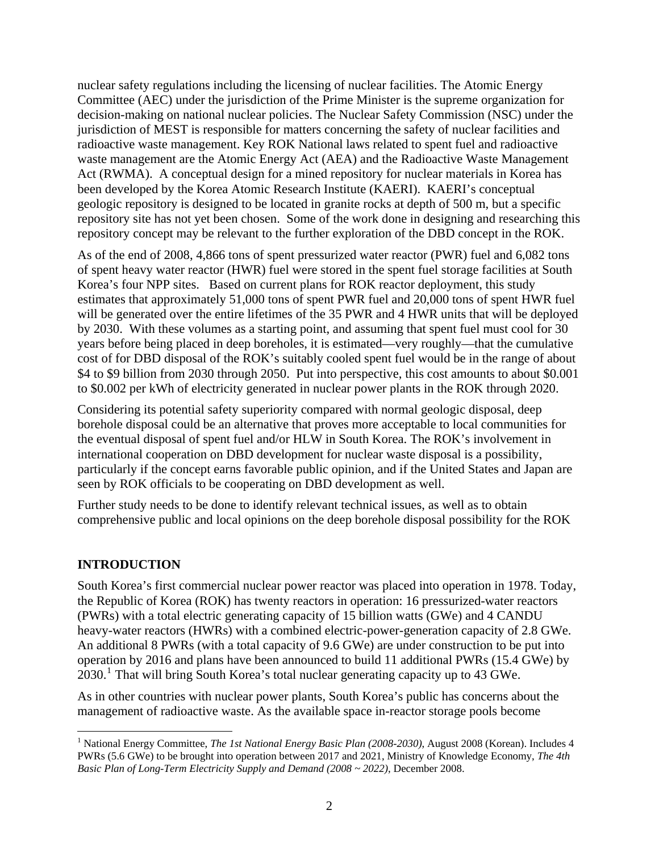nuclear safety regulations including the licensing of nuclear facilities. The Atomic Energy Committee (AEC) under the jurisdiction of the Prime Minister is the supreme organization for decision-making on national nuclear policies. The Nuclear Safety Commission (NSC) under the jurisdiction of MEST is responsible for matters concerning the safety of nuclear facilities and radioactive waste management. Key ROK National laws related to spent fuel and radioactive waste management are the Atomic Energy Act (AEA) and the Radioactive Waste Management Act (RWMA). A conceptual design for a mined repository for nuclear materials in Korea has been developed by the Korea Atomic Research Institute (KAERI). KAERI's conceptual geologic repository is designed to be located in granite rocks at depth of 500 m, but a specific repository site has not yet been chosen. Some of the work done in designing and researching this repository concept may be relevant to the further exploration of the DBD concept in the ROK.

As of the end of 2008, 4,866 tons of spent pressurized water reactor (PWR) fuel and 6,082 tons of spent heavy water reactor (HWR) fuel were stored in the spent fuel storage facilities at South Korea's four NPP sites. Based on current plans for ROK reactor deployment, this study estimates that approximately 51,000 tons of spent PWR fuel and 20,000 tons of spent HWR fuel will be generated over the entire lifetimes of the 35 PWR and 4 HWR units that will be deployed by 2030. With these volumes as a starting point, and assuming that spent fuel must cool for 30 years before being placed in deep boreholes, it is estimated—very roughly—that the cumulative cost of for DBD disposal of the ROK's suitably cooled spent fuel would be in the range of about \$4 to \$9 billion from 2030 through 2050. Put into perspective, this cost amounts to about \$0.001 to \$0.002 per kWh of electricity generated in nuclear power plants in the ROK through 2020.

Considering its potential safety superiority compared with normal geologic disposal, deep borehole disposal could be an alternative that proves more acceptable to local communities for the eventual disposal of spent fuel and/or HLW in South Korea. The ROK's involvement in international cooperation on DBD development for nuclear waste disposal is a possibility, particularly if the concept earns favorable public opinion, and if the United States and Japan are seen by ROK officials to be cooperating on DBD development as well.

Further study needs to be done to identify relevant technical issues, as well as to obtain comprehensive public and local opinions on the deep borehole disposal possibility for the ROK

# **INTRODUCTION**

South Korea's first commercial nuclear power reactor was placed into operation in 1978. Today, the Republic of Korea (ROK) has twenty reactors in operation: 16 pressurized-water reactors (PWRs) with a total electric generating capacity of 15 billion watts (GWe) and 4 CANDU heavy-water reactors (HWRs) with a combined electric-power-generation capacity of 2.8 GWe. An additional 8 PWRs (with a total capacity of 9.6 GWe) are under construction to be put into operation by 2016 and plans have been announced to build 11 additional PWRs (15.4 GWe) by 2030.<sup>[1](#page-1-0)</sup> That will bring South Korea's total nuclear generating capacity up to 43 GWe.

As in other countries with nuclear power plants, South Korea's public has concerns about the management of radioactive waste. As the available space in-reactor storage pools become

<span id="page-1-0"></span> $\overline{a}$ <sup>1</sup> National Energy Committee, *The 1st National Energy Basic Plan (2008-2030)*, August 2008 (Korean). Includes 4 PWRs (5.6 GWe) to be brought into operation between 2017 and 2021, Ministry of Knowledge Economy, *The 4th Basic Plan of Long-Term Electricity Supply and Demand (2008 ~ 2022)*, December 2008.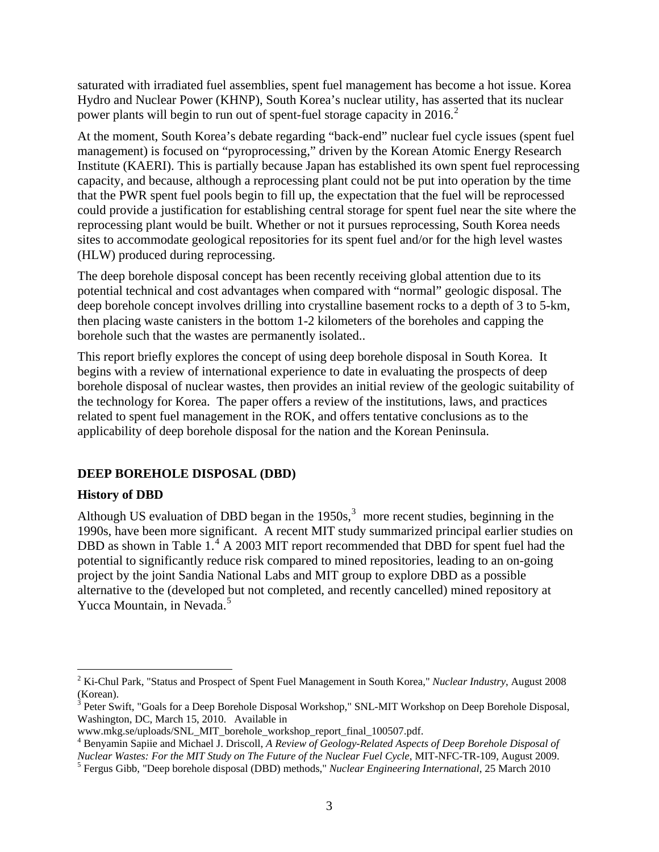saturated with irradiated fuel assemblies, spent fuel management has become a hot issue. Korea Hydro and Nuclear Power (KHNP), South Korea's nuclear utility, has asserted that its nuclear power plants will begin to run out of spent-fuel storage capacity in  $2016$  $2016$ <sup>2</sup>

At the moment, South Korea's debate regarding "back-end" nuclear fuel cycle issues (spent fuel management) is focused on "pyroprocessing," driven by the Korean Atomic Energy Research Institute (KAERI). This is partially because Japan has established its own spent fuel reprocessing capacity, and because, although a reprocessing plant could not be put into operation by the time that the PWR spent fuel pools begin to fill up, the expectation that the fuel will be reprocessed could provide a justification for establishing central storage for spent fuel near the site where the reprocessing plant would be built. Whether or not it pursues reprocessing, South Korea needs sites to accommodate geological repositories for its spent fuel and/or for the high level wastes (HLW) produced during reprocessing.

The deep borehole disposal concept has been recently receiving global attention due to its potential technical and cost advantages when compared with "normal" geologic disposal. The deep borehole concept involves drilling into crystalline basement rocks to a depth of 3 to 5-km, then placing waste canisters in the bottom 1-2 kilometers of the boreholes and capping the borehole such that the wastes are permanently isolated..

This report briefly explores the concept of using deep borehole disposal in South Korea. It begins with a review of international experience to date in evaluating the prospects of deep borehole disposal of nuclear wastes, then provides an initial review of the geologic suitability of the technology for Korea. The paper offers a review of the institutions, laws, and practices related to spent fuel management in the ROK, and offers tentative conclusions as to the applicability of deep borehole disposal for the nation and the Korean Peninsula.

## **DEEP BOREHOLE DISPOSAL (DBD)**

## **History of DBD**

 $\overline{a}$ 

Although US evaluation of DBD began in the  $1950s<sup>3</sup>$  $1950s<sup>3</sup>$  $1950s<sup>3</sup>$  more recent studies, beginning in the 1990s, have been more significant. A recent MIT study summarized principal earlier studies on DBD as shown in Table 1.<sup>[4](#page-2-2)</sup> A 2003 MIT report recommended that DBD for spent fuel had the potential to significantly reduce risk compared to mined repositories, leading to an on-going project by the joint Sandia National Labs and MIT group to explore DBD as a possible alternative to the (developed but not completed, and recently cancelled) mined repository at Yucca Mountain, in Nevada.<sup>[5](#page-2-3)</sup>

<span id="page-2-0"></span><sup>2</sup> Ki-Chul Park, "Status and Prospect of Spent Fuel Management in South Korea," *Nuclear Industry*, August 2008 (Korean).

<span id="page-2-1"></span> $3$  Peter Swift, "Goals for a Deep Borehole Disposal Workshop," SNL-MIT Workshop on Deep Borehole Disposal, Washington, DC, March 15, 2010. Available in

www.mkg.se/uploads/SNL\_MIT\_borehole\_workshop\_report\_final\_100507.pdf.

<span id="page-2-2"></span><sup>4</sup> Benyamin Sapiie and Michael J. Driscoll, *A Review of Geology-Related Aspects of Deep Borehole Disposal of Nuclear Wastes: For the MIT Study on The Future of the Nuclear Fuel Cycle*, MIT-NFC-TR-109, August 2009.

<span id="page-2-3"></span>Fergus Gibb, "Deep borehole disposal (DBD) methods," *Nuclear Engineering International*, 25 March 2010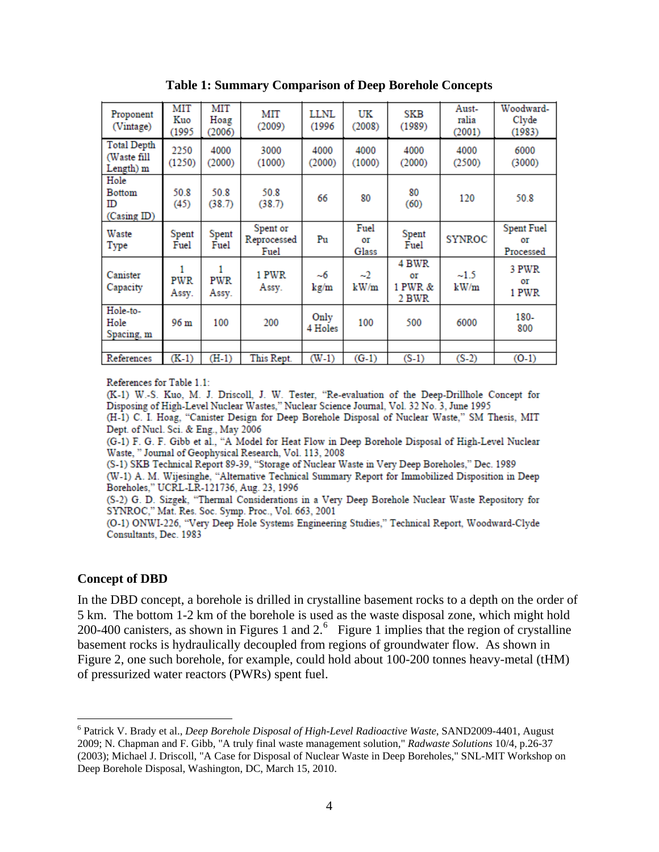| Proponent<br>(Vintage)                         | MIT<br>Kuo<br>(1995 | MIT<br>Hoag<br>(2006) | MIT<br>(2009)                   | <b>LLNL</b><br>(1996) | UK<br>(2008)        | SKB<br>(1989)                   | Aust-<br>ralia<br>(2001) | Woodward-<br>Clyde<br>(1983)         |
|------------------------------------------------|---------------------|-----------------------|---------------------------------|-----------------------|---------------------|---------------------------------|--------------------------|--------------------------------------|
| <b>Total Depth</b><br>(Waste fill<br>Length) m | 2250<br>(1250)      | 4000<br>(2000)        | 3000<br>(1000)                  | 4000<br>(2000)        | 4000<br>(1000)      | 4000<br>(2000)                  | 4000<br>(2500)           | 6000<br>(3000)                       |
| Hole<br><b>Bottom</b><br>ID<br>(Casing ID)     | 50.8<br>(45)        | 50.8<br>(38.7)        | 50.8<br>(38.7)                  | 66                    | 80                  | 80<br>(60)                      | 120                      | 50.8                                 |
| Waste<br>Type                                  | Spent<br>Fuel       | Spent<br>Fuel         | Spent or<br>Reprocessed<br>Fuel | Pu                    | Fuel<br>ΟT<br>Glass | Spent<br>Fuel                   | <b>SYNROC</b>            | <b>Spent Fuel</b><br>ΟT<br>Processed |
| Canister<br>Capacity                           | <b>PWR</b><br>Assy. | PWR<br>Assy.          | 1 PWR<br>Assy.                  | $-6$<br>kg/m          | $-2$<br>kW/m        | 4 BWR<br>ΟT<br>1 PWR &<br>2 BWR | $-1.5$<br>kW/m           | 3 PWR<br>ΟT<br>1 PWR                 |
| Hole-to-<br>Hole<br>Spacing, m                 | 96 m                | 100                   | 200                             | Only<br>4 Holes       | 100                 | 500                             | 6000                     | 180-<br>800                          |
|                                                |                     |                       |                                 |                       |                     |                                 |                          |                                      |
| References                                     | $(K-1)$             | $(H-1)$               | This Rept.                      | $(W-1)$               | $(G-1)$             | $(S-1)$                         | $(S-2)$                  | $(0-1)$                              |

**Table 1: Summary Comparison of Deep Borehole Concepts** 

References for Table 1.1:

(K-1) W.-S. Kuo, M. J. Driscoll, J. W. Tester, "Re-evaluation of the Deep-Drillhole Concept for Disposing of High-Level Nuclear Wastes," Nuclear Science Journal, Vol. 32 No. 3, June 1995 (H-1) C. I. Hoag, "Canister Design for Deep Borehole Disposal of Nuclear Waste," SM Thesis, MIT Dept. of Nucl. Sci. & Eng., May 2006

(G-1) F. G. F. Gibb et al., "A Model for Heat Flow in Deep Borehole Disposal of High-Level Nuclear Waste, " Journal of Geophysical Research, Vol. 113, 2008

(S-1) SKB Technical Report 89-39, "Storage of Nuclear Waste in Very Deep Boreholes," Dec. 1989

(W-1) A. M. Wijesinghe, "Alternative Technical Summary Report for Immobilized Disposition in Deep Boreholes," UCRL-LR-121736, Aug. 23, 1996

(S-2) G. D. Sizgek, "Thermal Considerations in a Very Deep Borehole Nuclear Waste Repository for SYNROC," Mat. Res. Soc. Symp. Proc., Vol. 663, 2001

(O-1) ONWI-226, "Very Deep Hole Systems Engineering Studies," Technical Report, Woodward-Clyde Consultants, Dec. 1983

#### **Concept of DBD**

 $\overline{a}$ 

In the DBD concept, a borehole is drilled in crystalline basement rocks to a depth on the order of 5 km. The bottom 1-2 km of the borehole is used as the waste disposal zone, which might hold 200-400 canisters, as shown in Figures 1 and  $2<sup>6</sup>$  $2<sup>6</sup>$  $2<sup>6</sup>$  Figure 1 implies that the region of crystalline basement rocks is hydraulically decoupled from regions of groundwater flow. As shown in Figure 2, one such borehole, for example, could hold about 100-200 tonnes heavy-metal (tHM) of pressurized water reactors (PWRs) spent fuel.

<span id="page-3-0"></span><sup>6</sup> Patrick V. Brady et al., *Deep Borehole Disposal of High-Level Radioactive Waste*, SAND2009-4401, August 2009; N. Chapman and F. Gibb, "A truly final waste management solution," *Radwaste Solutions* 10/4, p.26-37 (2003); Michael J. Driscoll, "A Case for Disposal of Nuclear Waste in Deep Boreholes," SNL-MIT Workshop on Deep Borehole Disposal, Washington, DC, March 15, 2010.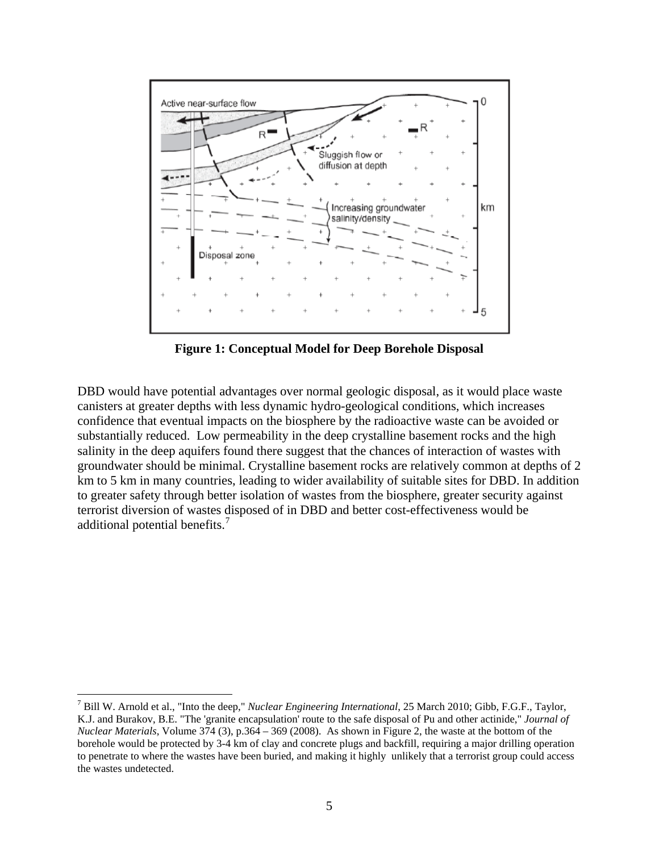

**Figure 1: Conceptual Model for Deep Borehole Disposal** 

DBD would have potential advantages over normal geologic disposal, as it would place waste canisters at greater depths with less dynamic hydro-geological conditions, which increases confidence that eventual impacts on the biosphere by the radioactive waste can be avoided or substantially reduced. Low permeability in the deep crystalline basement rocks and the high salinity in the deep aquifers found there suggest that the chances of interaction of wastes with groundwater should be minimal. Crystalline basement rocks are relatively common at depths of 2 km to 5 km in many countries, leading to wider availability of suitable sites for DBD. In addition to greater safety through better isolation of wastes from the biosphere, greater security against terrorist diversion of wastes disposed of in DBD and better cost-effectiveness would be additional potential benefits.<sup>[7](#page-4-0)</sup>

<span id="page-4-0"></span><sup>7</sup> Bill W. Arnold et al., "Into the deep," *Nuclear Engineering International*, 25 March 2010; Gibb, F.G.F., Taylor, K.J. and Burakov, B.E. "The 'granite encapsulation' route to the safe disposal of Pu and other actinide," *Journal of Nuclear Materials*, Volume 374 (3), p.364 – 369 (2008). As shown in Figure 2, the waste at the bottom of the borehole would be protected by 3-4 km of clay and concrete plugs and backfill, requiring a major drilling operation to penetrate to where the wastes have been buried, and making it highly unlikely that a terrorist group could access the wastes undetected.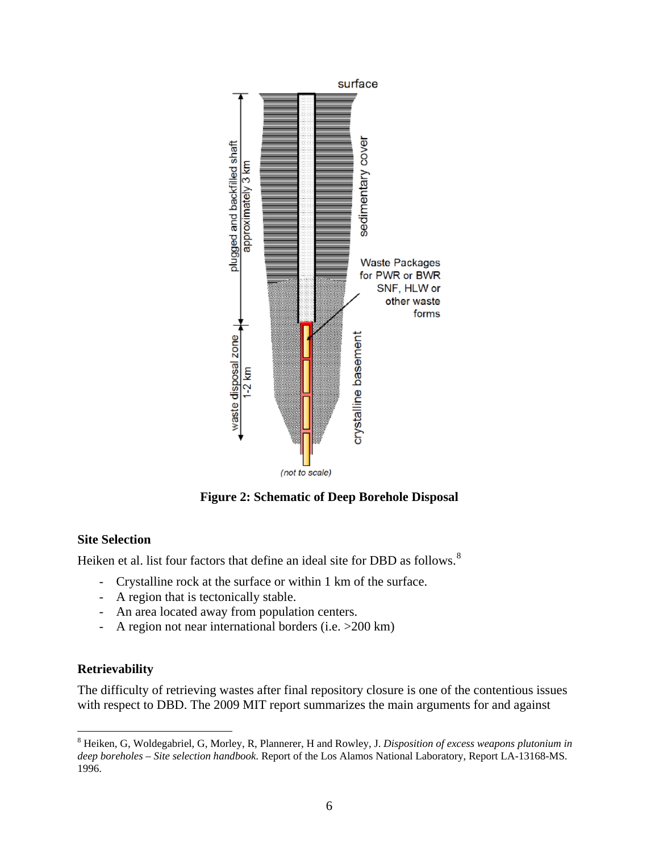

**Figure 2: Schematic of Deep Borehole Disposal** 

# **Site Selection**

Heiken et al. list four factors that define an ideal site for DBD as follows.<sup>[8](#page-5-0)</sup>

- Crystalline rock at the surface or within 1 km of the surface.
- A region that is tectonically stable.
- An area located away from population centers.
- A region not near international borders (i.e. >200 km)

# **Retrievability**

The difficulty of retrieving wastes after final repository closure is one of the contentious issues with respect to DBD. The 2009 MIT report summarizes the main arguments for and against

<span id="page-5-0"></span> $\overline{a}$ 8 Heiken, G, Woldegabriel, G, Morley, R, Plannerer, H and Rowley, J. *Disposition of excess weapons plutonium in deep boreholes – Site selection handbook*. Report of the Los Alamos National Laboratory, Report LA-13168-MS. 1996.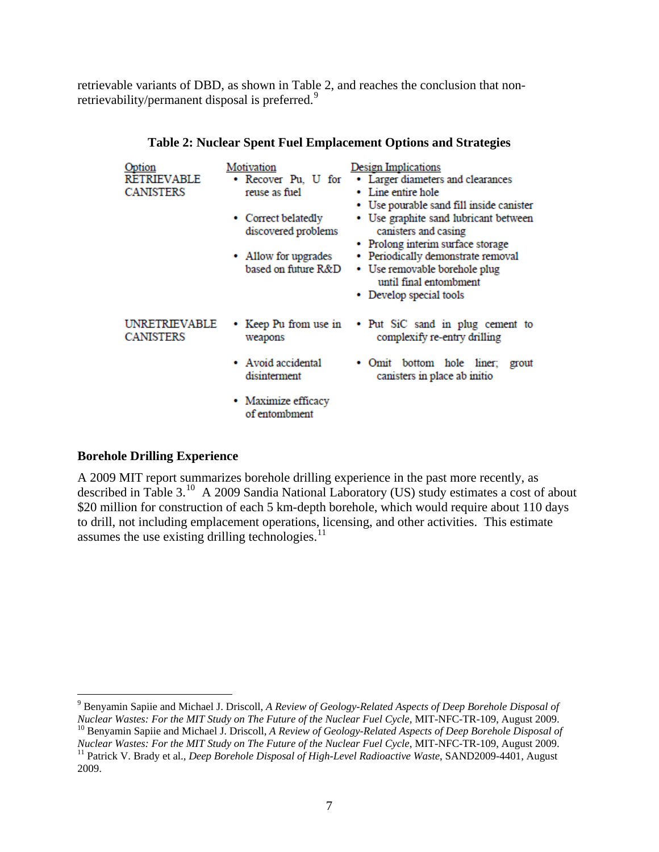retrievable variants of DBD, as shown in Table 2, and reaches the conclusion that non-retrievability/permanent disposal is preferred.<sup>[9](#page-6-0)</sup>

| Option<br>RETRIEVABLE<br><b>CANISTERS</b> | Motivation<br>• Recover Pu, U for<br>reuse as fuel<br>• Correct belatedly<br>discovered problems<br>• Allow for upgrades<br>based on future R&D | <b>Design Implications</b><br>• Larger diameters and clearances<br>• Line entire hole<br>• Use pourable sand fill inside canister<br>• Use graphite sand lubricant between<br>canisters and casing<br>• Prolong interim surface storage<br>• Periodically demonstrate removal<br>• Use removable borehole plug<br>until final entombment<br>• Develop special tools |
|-------------------------------------------|-------------------------------------------------------------------------------------------------------------------------------------------------|---------------------------------------------------------------------------------------------------------------------------------------------------------------------------------------------------------------------------------------------------------------------------------------------------------------------------------------------------------------------|
| UNRETRIEVABLE<br><b>CANISTERS</b>         | • Keep Pu from use in<br>weapons                                                                                                                | • Put SiC sand in plug cement to<br>complexify re-entry drilling                                                                                                                                                                                                                                                                                                    |
|                                           | • Avoid accidental<br>disinterment                                                                                                              | bottom hole liner;<br>$\bullet$ Omit<br>grout<br>canisters in place ab initio                                                                                                                                                                                                                                                                                       |
|                                           | • Maximize efficacy<br>of entombment                                                                                                            |                                                                                                                                                                                                                                                                                                                                                                     |

## **Table 2: Nuclear Spent Fuel Emplacement Options and Strategies**

## **Borehole Drilling Experience**

 $\overline{a}$ 

A 2009 MIT report summarizes borehole drilling experience in the past more recently, as described in Table 3.[10](#page-6-1) A 2009 Sandia National Laboratory (US) study estimates a cost of about \$20 million for construction of each 5 km-depth borehole, which would require about 110 days to drill, not including emplacement operations, licensing, and other activities. This estimate assumes the use existing drilling technologies. $<sup>11</sup>$  $<sup>11</sup>$  $<sup>11</sup>$ </sup>

<span id="page-6-0"></span>9 Benyamin Sapiie and Michael J. Driscoll, *A Review of Geology-Related Aspects of Deep Borehole Disposal of*  Nuclear Wastes: For the MIT Study on The Future of the Nuclear Fuel Cycle, MIT-NFC-TR-109, August 2009.<br><sup>10</sup> Benyamin Sapiie and Michael J. Driscoll, A Review of Geology-Related Aspects of Deep Borehole Disposal of<br>Nuclear

<span id="page-6-2"></span><span id="page-6-1"></span><sup>&</sup>lt;sup>11</sup> Patrick V. Brady et al., *Deep Borehole Disposal of High-Level Radioactive Waste*, SAND2009-4401, August 2009.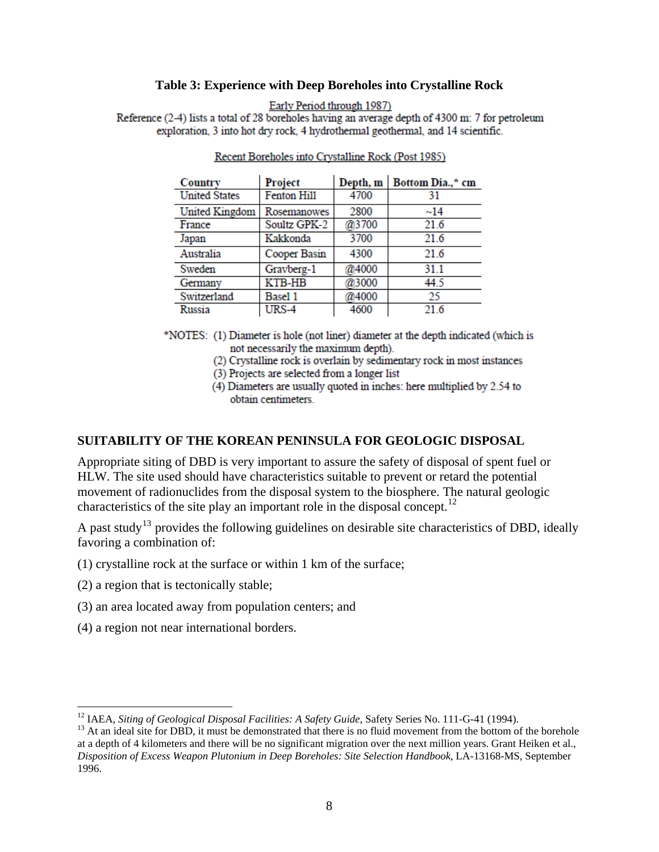#### **Table 3: Experience with Deep Boreholes into Crystalline Rock**

Early Period through 1987)

Reference (2-4) lists a total of 28 boreholes having an average depth of 4300 m: 7 for petroleum exploration, 3 into hot dry rock, 4 hydrothermal geothermal, and 14 scientific.

| Country              | Project       | Depth, m | Bottom Dia.,* cm |
|----------------------|---------------|----------|------------------|
| <b>United States</b> | Fenton Hill   | 4700     | 31               |
| United Kingdom       | Rosemanowes   | 2800     | $-14$            |
| France               | Soultz GPK-2  | @3700    | 21.6             |
| Japan                | Kakkonda      | 3700     | 21.6             |
| Australia            | Cooper Basin  | 4300     | 21.6             |
| Sweden               | Gravberg-1    | @4000    | 31.1             |
| Germany              | <b>KTB-HB</b> | @3000    | 44.5             |
| Switzerland          | Basel 1       | @4000    | 25               |
| Russia               | URS-4         | 4600     | 21.6             |

Recent Boreholes into Crystalline Rock (Post 1985)

\*NOTES: (1) Diameter is hole (not liner) diameter at the depth indicated (which is not necessarily the maximum depth).

(2) Crystalline rock is overlain by sedimentary rock in most instances

(3) Projects are selected from a longer list

(4) Diameters are usually quoted in inches: here multiplied by 2.54 to obtain centimeters.

## **SUITABILITY OF THE KOREAN PENINSULA FOR GEOLOGIC DISPOSAL**

Appropriate siting of DBD is very important to assure the safety of disposal of spent fuel or HLW. The site used should have characteristics suitable to prevent or retard the potential movement of radionuclides from the disposal system to the biosphere. The natural geologic characteristics of the site play an important role in the disposal concept.<sup>[12](#page-7-0)</sup>

A past study<sup>[13](#page-7-1)</sup> provides the following guidelines on desirable site characteristics of DBD, ideally favoring a combination of:

- (1) crystalline rock at the surface or within 1 km of the surface;
- (2) a region that is tectonically stable;

- (3) an area located away from population centers; and
- (4) a region not near international borders.

<span id="page-7-0"></span><sup>&</sup>lt;sup>12</sup> IAEA, *Siting of Geological Disposal Facilities: A Safety Guide*, Safety Series No. 111-G-41 (1994).<br><sup>13</sup> At an ideal site for DBD, it must be demonstrated that there is no fluid movement from the bottom of the boreh

<span id="page-7-1"></span>at a depth of 4 kilometers and there will be no significant migration over the next million years. Grant Heiken et al., *Disposition of Excess Weapon Plutonium in Deep Boreholes: Site Selection Handbook*, LA-13168-MS, September 1996.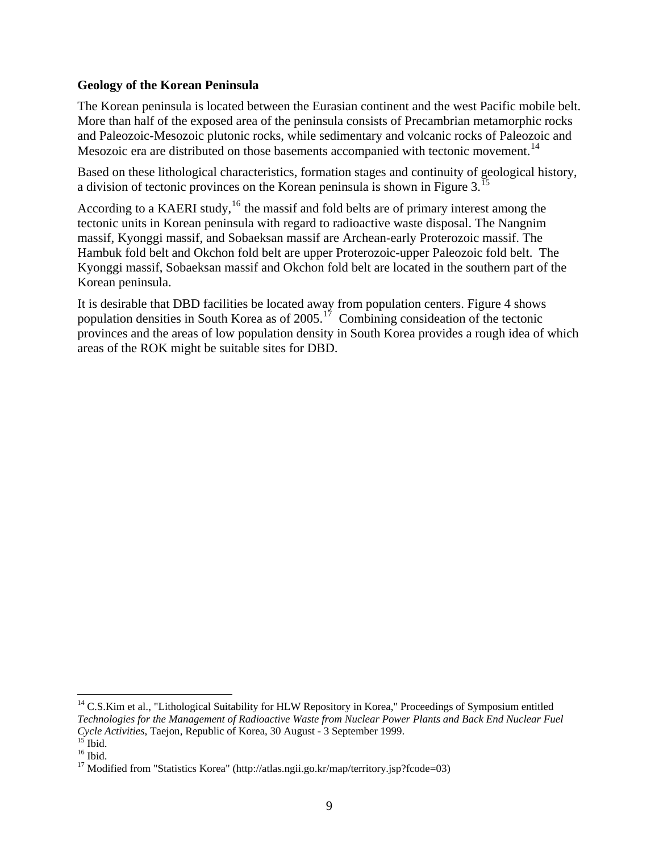# **Geology of the Korean Peninsula**

The Korean peninsula is located between the Eurasian continent and the west Pacific mobile belt. More than half of the exposed area of the peninsula consists of Precambrian metamorphic rocks and Paleozoic-Mesozoic plutonic rocks, while sedimentary and volcanic rocks of Paleozoic and Mesozoic era are distributed on those basements accompanied with tectonic movement.<sup>[14](#page-8-0)</sup>

Based on these lithological characteristics, formation stages and continuity of geological history, a division of tectonic provinces on the Korean peninsula is shown in Figure 3.<sup>[15](#page-8-1)</sup>

According to a KAERI study,  $16$  the massif and fold belts are of primary interest among the tectonic units in Korean peninsula with regard to radioactive waste disposal. The Nangnim massif, Kyonggi massif, and Sobaeksan massif are Archean-early Proterozoic massif. The Hambuk fold belt and Okchon fold belt are upper Proterozoic-upper Paleozoic fold belt. The Kyonggi massif, Sobaeksan massif and Okchon fold belt are located in the southern part of the Korean peninsula.

It is desirable that DBD facilities be located away from population centers. Figure 4 shows population densities in South Korea as of  $2005$ .<sup>[17](#page-8-3)</sup> Combining consideation of the tectonic provinces and the areas of low population density in South Korea provides a rough idea of which areas of the ROK might be suitable sites for DBD.

<span id="page-8-0"></span><sup>&</sup>lt;sup>14</sup> C.S.Kim et al., "Lithological Suitability for HLW Repository in Korea," Proceedings of Symposium entitled *Technologies for the Management of Radioactive Waste from Nuclear Power Plants and Back End Nuclear Fuel Cycle Activities*, Taejon, Republic of Korea, 30 August - 3 September 1999. 15 Ibid.

<span id="page-8-2"></span><span id="page-8-1"></span> $16$  Ibid.

<span id="page-8-3"></span><sup>&</sup>lt;sup>17</sup> Modified from "Statistics Korea" (http://atlas.ngii.go.kr/map/territory.jsp?fcode=03)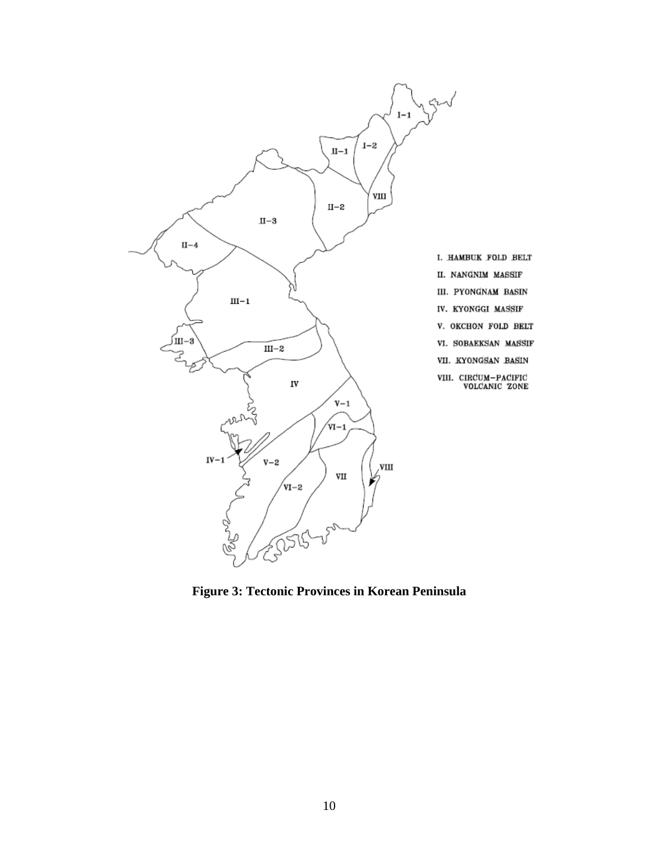

**Figure 3: Tectonic Provinces in Korean Peninsula**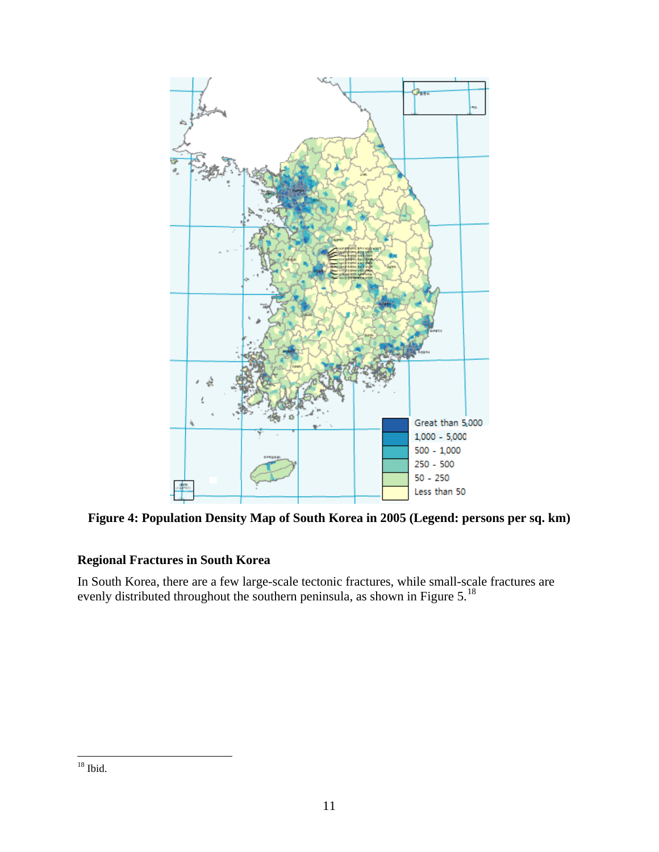

**Figure 4: Population Density Map of South Korea in 2005 (Legend: persons per sq. km)** 

# **Regional Fractures in South Korea**

<span id="page-10-0"></span>In South Korea, there are a few large-scale tectonic fractures, while small-scale fractures are evenly distributed throughout the southern peninsula, as shown in Figure 5.<sup>[18](#page-10-0)</sup>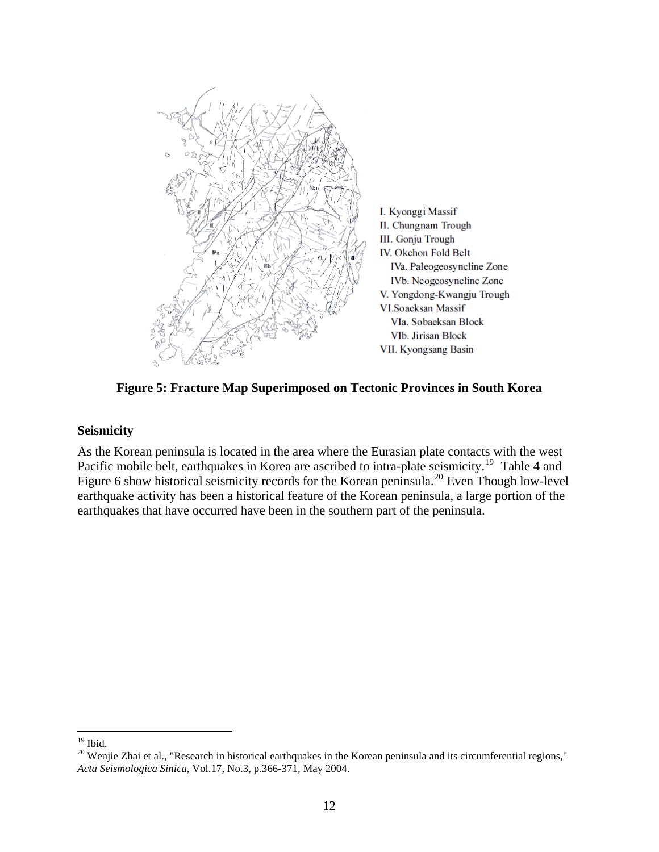

**Figure 5: Fracture Map Superimposed on Tectonic Provinces in South Korea** 

## **Seismicity**

As the Korean peninsula is located in the area where the Eurasian plate contacts with the west Pacific mobile belt, earthquakes in Korea are ascribed to intra-plate seismicity.<sup>[19](#page-11-0)</sup> Table 4 and Figure 6 show historical seismicity records for the Korean peninsula.<sup>[20](#page-11-1)</sup> Even Though low-level earthquake activity has been a historical feature of the Korean peninsula, a large portion of the earthquakes that have occurred have been in the southern part of the peninsula.

 $\overline{a}$  $19$  Ibid.

<span id="page-11-1"></span><span id="page-11-0"></span><sup>&</sup>lt;sup>20</sup> Wenjie Zhai et al., "Research in historical earthquakes in the Korean peninsula and its circumferential regions," *Acta Seismologica Sinica*, Vol.17, No.3, p.366-371, May 2004.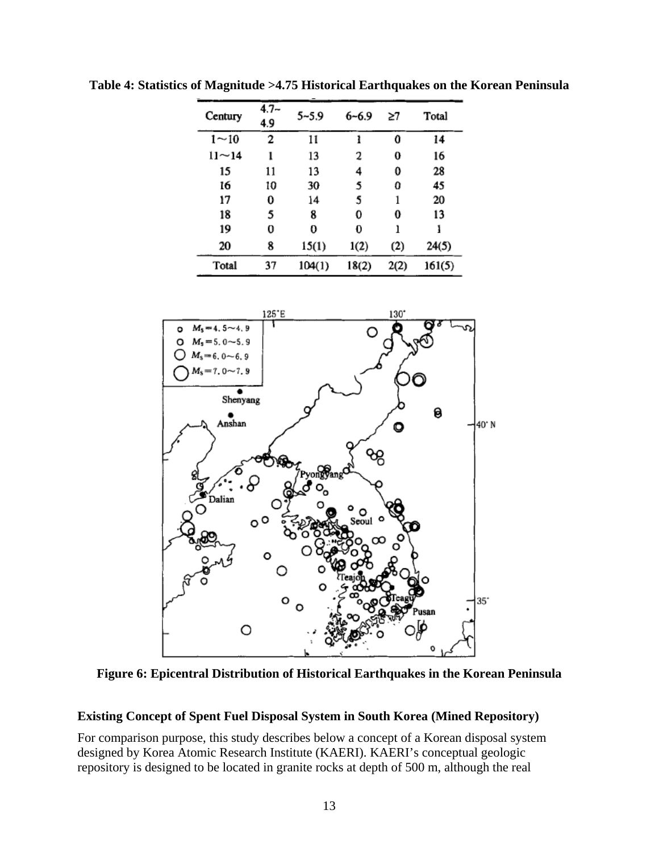| Century         | $4.7-$<br>4.9 | 5~5.9  | $6 - 6.9$ | ≳7   | Total  |
|-----------------|---------------|--------|-----------|------|--------|
| $1\!\!\sim\!10$ | 2             | 11     | ł         | 0    | 14     |
| $11 - 14$       | ı             | 13     | 2         | 0    | 16     |
| 15              | 11            | 13     | 4         | 0    | 28     |
| 16              | 10            | 30     | 5         | 0    | 45     |
| 17              | 0             | 14     | 5         | 1    | 20     |
| 18              | 5             | 8      | 0         | 0    | 13     |
| 19              | 0             | 0      | O         | ı    | ł      |
| 20              | 8             | 15(1)  | 1(2)      | (2)  | 24(5)  |
| Total           | 37            | 104(1) | 18(2)     | 2(2) | 161(5) |

**Table 4: Statistics of Magnitude >4.75 Historical Earthquakes on the Korean Peninsula** 



**Figure 6: Epicentral Distribution of Historical Earthquakes in the Korean Peninsula** 

### **Existing Concept of Spent Fuel Disposal System in South Korea (Mined Repository)**

For comparison purpose, this study describes below a concept of a Korean disposal system designed by Korea Atomic Research Institute (KAERI). KAERI's conceptual geologic repository is designed to be located in granite rocks at depth of 500 m, although the real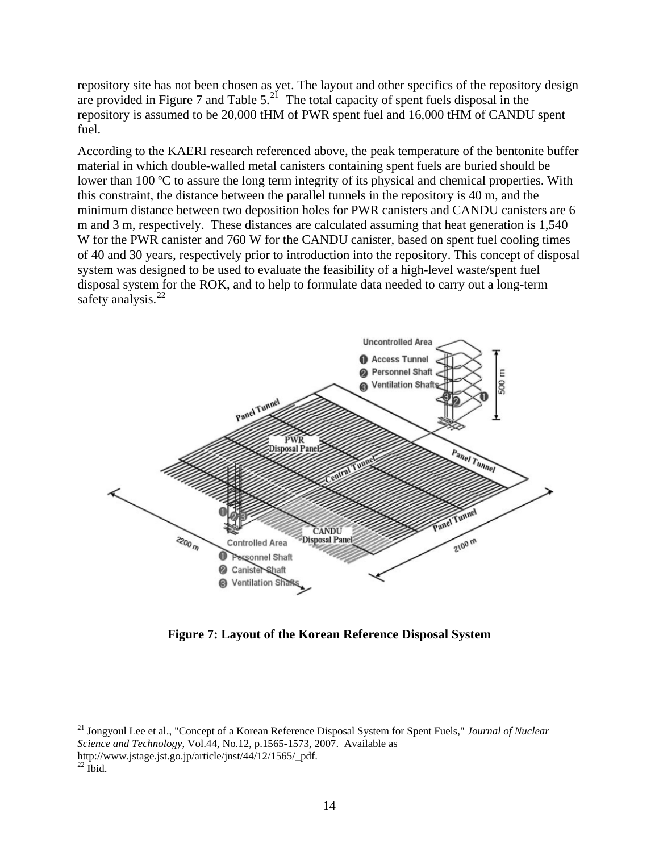repository site has not been chosen as yet. The layout and other specifics of the repository design are provided in Figure 7 and Table  $5.<sup>21</sup>$  $5.<sup>21</sup>$  $5.<sup>21</sup>$  The total capacity of spent fuels disposal in the repository is assumed to be 20,000 tHM of PWR spent fuel and 16,000 tHM of CANDU spent fuel.

According to the KAERI research referenced above, the peak temperature of the bentonite buffer material in which double-walled metal canisters containing spent fuels are buried should be lower than 100 ºC to assure the long term integrity of its physical and chemical properties. With this constraint, the distance between the parallel tunnels in the repository is 40 m, and the minimum distance between two deposition holes for PWR canisters and CANDU canisters are 6 m and 3 m, respectively. These distances are calculated assuming that heat generation is 1,540 W for the PWR canister and 760 W for the CANDU canister, based on spent fuel cooling times of 40 and 30 years, respectively prior to introduction into the repository. This concept of disposal system was designed to be used to evaluate the feasibility of a high-level waste/spent fuel disposal system for the ROK, and to help to formulate data needed to carry out a long-term safety analysis. $^{22}$  $^{22}$  $^{22}$ 



**Figure 7: Layout of the Korean Reference Disposal System** 

<span id="page-13-0"></span><sup>21</sup> Jongyoul Lee et al., "Concept of a Korean Reference Disposal System for Spent Fuels," *Journal of Nuclear Science and Technology*, Vol.44, No.12, p.1565-1573, 2007. Available as http://www.jstage.jst.go.jp/article/jnst/44/12/1565/\_pdf.

<span id="page-13-1"></span> $^{22}$  Ibid.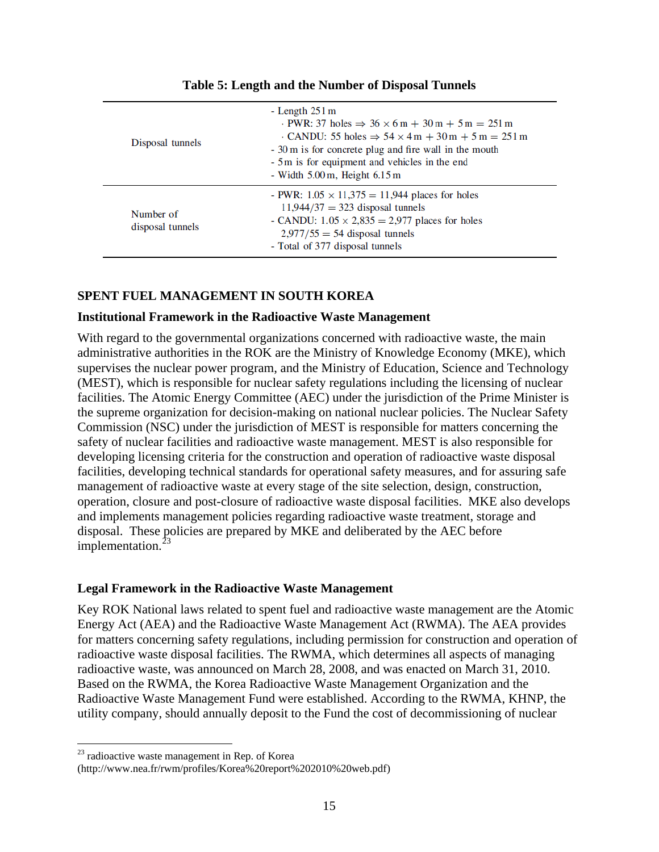| Disposal tunnels              | - Length $251 \text{ m}$<br>$\cdot$ PWR: 37 holes $\Rightarrow$ 36 $\times$ 6 m + 30 m + 5 m = 251 m<br>$\cdot$ CANDU: 55 holes $\Rightarrow$ 54 $\times$ 4 m + 30 m + 5 m = 251 m<br>- 30 m is for concrete plug and fire wall in the mouth<br>- 5 m is for equipment and vehicles in the end<br>- Width $5.00 \,\mathrm{m}$ , Height $6.15 \,\mathrm{m}$ |
|-------------------------------|------------------------------------------------------------------------------------------------------------------------------------------------------------------------------------------------------------------------------------------------------------------------------------------------------------------------------------------------------------|
| Number of<br>disposal tunnels | - PWR: $1.05 \times 11,375 = 11,944$ places for holes<br>$11,944/37 = 323$ disposal tunnels<br>- CANDU: $1.05 \times 2,835 = 2,977$ places for holes<br>$2,977/55 = 54$ disposal tunnels<br>- Total of 377 disposal tunnels                                                                                                                                |

**Table 5: Length and the Number of Disposal Tunnels** 

# **SPENT FUEL MANAGEMENT IN SOUTH KOREA**

# **Institutional Framework in the Radioactive Waste Management**

With regard to the governmental organizations concerned with radioactive waste, the main administrative authorities in the ROK are the Ministry of Knowledge Economy (MKE), which supervises the nuclear power program, and the Ministry of Education, Science and Technology (MEST), which is responsible for nuclear safety regulations including the licensing of nuclear facilities. The Atomic Energy Committee (AEC) under the jurisdiction of the Prime Minister is the supreme organization for decision-making on national nuclear policies. The Nuclear Safety Commission (NSC) under the jurisdiction of MEST is responsible for matters concerning the safety of nuclear facilities and radioactive waste management. MEST is also responsible for developing licensing criteria for the construction and operation of radioactive waste disposal facilities, developing technical standards for operational safety measures, and for assuring safe management of radioactive waste at every stage of the site selection, design, construction, operation, closure and post-closure of radioactive waste disposal facilities. MKE also develops and implements management policies regarding radioactive waste treatment, storage and disposal. These policies are prepared by MKE and deliberated by the AEC before implementation. $^{2}$ 

# **Legal Framework in the Radioactive Waste Management**

Key ROK National laws related to spent fuel and radioactive waste management are the Atomic Energy Act (AEA) and the Radioactive Waste Management Act (RWMA). The AEA provides for matters concerning safety regulations, including permission for construction and operation of radioactive waste disposal facilities. The RWMA, which determines all aspects of managing radioactive waste, was announced on March 28, 2008, and was enacted on March 31, 2010. Based on the RWMA, the Korea Radioactive Waste Management Organization and the Radioactive Waste Management Fund were established. According to the RWMA, KHNP, the utility company, should annually deposit to the Fund the cost of decommissioning of nuclear

<span id="page-14-0"></span> $23$  radioactive waste management in Rep. of Korea

<sup>(</sup>http://www.nea.fr/rwm/profiles/Korea%20report%202010%20web.pdf)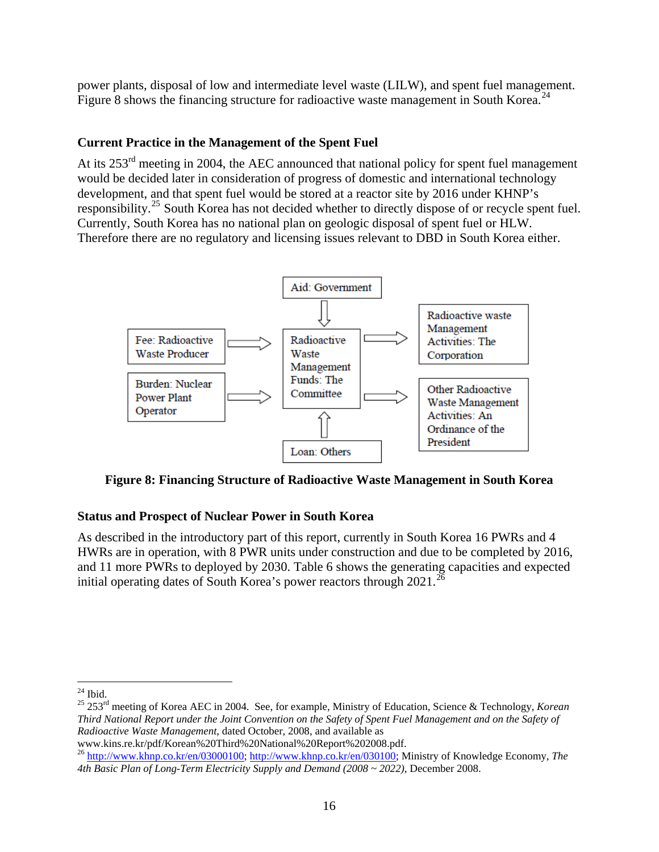power plants, disposal of low and intermediate level waste (LILW), and spent fuel management. Figure 8 shows the financing structure for radioactive waste management in South Korea.<sup>[24](#page-15-0)</sup>

# **Current Practice in the Management of the Spent Fuel**

At its 253<sup>rd</sup> meeting in 2004, the AEC announced that national policy for spent fuel management would be decided later in consideration of progress of domestic and international technology development, and that spent fuel would be stored at a reactor site by 2016 under KHNP's responsibility.<sup>[25](#page-15-1)</sup> South Korea has not decided whether to directly dispose of or recycle spent fuel. Currently, South Korea has no national plan on geologic disposal of spent fuel or HLW. Therefore there are no regulatory and licensing issues relevant to DBD in South Korea either.



**Figure 8: Financing Structure of Radioactive Waste Management in South Korea** 

# **Status and Prospect of Nuclear Power in South Korea**

As described in the introductory part of this report, currently in South Korea 16 PWRs and 4 HWRs are in operation, with 8 PWR units under construction and due to be completed by 2016, and 11 more PWRs to deployed by 2030. Table 6 shows the generating capacities and expected initial operating dates of South Korea's power reactors through  $2021$ .<sup>[26](#page-15-2)</sup>

<span id="page-15-1"></span><span id="page-15-0"></span>25 253rd meeting of Korea AEC in 2004. See, for example, Ministry of Education, Science & Technology, *Korean Third National Report under the Joint Convention on the Safety of Spent Fuel Management and on the Safety of Radioactive Waste Management*, dated October, 2008, and available as www.kins.re.kr/pdf/Korean%20Third%20National%20Report%202008.pdf.

 $\overline{a}$  $24$  Ibid.

<span id="page-15-2"></span><sup>26</sup> [http://www.khnp.co.kr/en/03000100;](http://www.khnp.co.kr/en/03000100) [http://www.khnp.co.kr/en/030100;](http://www.khnp.co.kr/en/030100) Ministry of Knowledge Economy, *The 4th Basic Plan of Long-Term Electricity Supply and Demand (2008 ~ 2022)*, December 2008.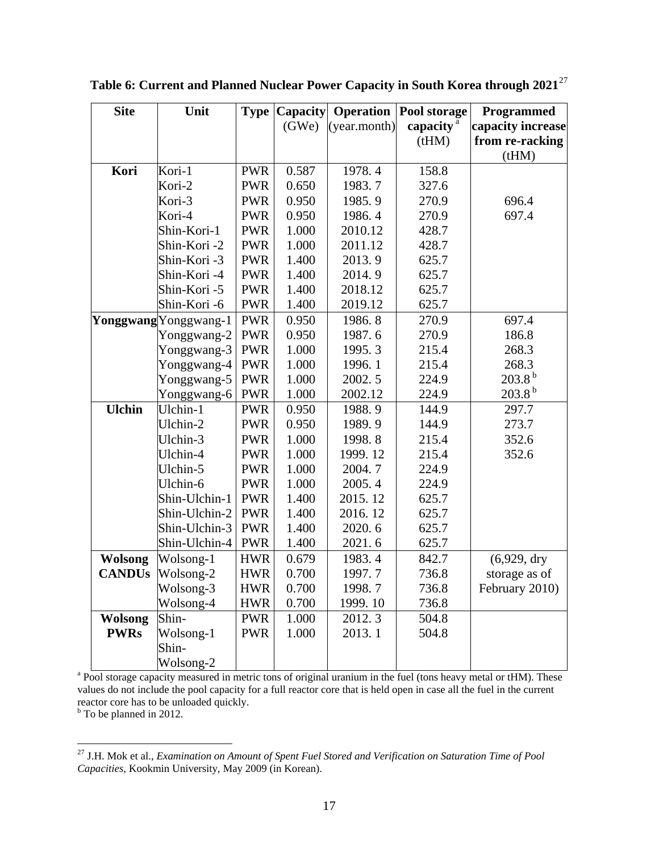| <b>Site</b>                                                                                                                 | Unit                  | <b>Type</b> | Capacity | Operation    | Pool storage          | Programmed        |
|-----------------------------------------------------------------------------------------------------------------------------|-----------------------|-------------|----------|--------------|-----------------------|-------------------|
|                                                                                                                             |                       |             | (GWe)    | (year.month) | capacity <sup>a</sup> | capacity increase |
|                                                                                                                             |                       |             |          |              | (tHM)                 | from re-racking   |
|                                                                                                                             |                       |             |          |              |                       | (tHM)             |
| Kori                                                                                                                        | Kori-1                | <b>PWR</b>  | 0.587    | 1978.4       | 158.8                 |                   |
|                                                                                                                             | Kori-2                | <b>PWR</b>  | 0.650    | 1983.7       | 327.6                 |                   |
|                                                                                                                             | Kori-3                | <b>PWR</b>  | 0.950    | 1985.9       | 270.9                 | 696.4             |
|                                                                                                                             | Kori-4                | <b>PWR</b>  | 0.950    | 1986.4       | 270.9                 | 697.4             |
|                                                                                                                             | Shin-Kori-1           | <b>PWR</b>  | 1.000    | 2010.12      | 428.7                 |                   |
|                                                                                                                             | Shin-Kori -2          | <b>PWR</b>  | 1.000    | 2011.12      | 428.7                 |                   |
|                                                                                                                             | Shin-Kori -3          | <b>PWR</b>  | 1.400    | 2013.9       | 625.7                 |                   |
|                                                                                                                             | Shin-Kori -4          | <b>PWR</b>  | 1.400    | 2014.9       | 625.7                 |                   |
|                                                                                                                             | Shin-Kori -5          | <b>PWR</b>  | 1.400    | 2018.12      | 625.7                 |                   |
|                                                                                                                             | Shin-Kori -6          | <b>PWR</b>  | 1.400    | 2019.12      | 625.7                 |                   |
|                                                                                                                             | Yonggwang Yonggwang-1 | <b>PWR</b>  | 0.950    | 1986.8       | 270.9                 | 697.4             |
|                                                                                                                             | Yonggwang-2           | <b>PWR</b>  | 0.950    | 1987.6       | 270.9                 | 186.8             |
|                                                                                                                             | Yonggwang-3           | <b>PWR</b>  | 1.000    | 1995.3       | 215.4                 | 268.3             |
|                                                                                                                             | Yonggwang-4           | <b>PWR</b>  | 1.000    | 1996.1       | 215.4                 | 268.3             |
|                                                                                                                             | Yonggwang-5           | <b>PWR</b>  | 1.000    | 2002.5       | 224.9                 | $203.8^{b}$       |
|                                                                                                                             | Yonggwang-6           | <b>PWR</b>  | 1.000    | 2002.12      | 224.9                 | $203.8^{b}$       |
| <b>Ulchin</b>                                                                                                               | Ulchin-1              | <b>PWR</b>  | 0.950    | 1988.9       | 144.9                 | 297.7             |
|                                                                                                                             | Ulchin-2              | <b>PWR</b>  | 0.950    | 1989.9       | 144.9                 | 273.7             |
|                                                                                                                             | Ulchin-3              | <b>PWR</b>  | 1.000    | 1998.8       | 215.4                 | 352.6             |
|                                                                                                                             | Ulchin-4              | <b>PWR</b>  | 1.000    | 1999.12      | 215.4                 | 352.6             |
|                                                                                                                             | Ulchin-5              | <b>PWR</b>  | 1.000    | 2004.7       | 224.9                 |                   |
|                                                                                                                             | Ulchin-6              | <b>PWR</b>  | 1.000    | 2005.4       | 224.9                 |                   |
|                                                                                                                             | Shin-Ulchin-1         | <b>PWR</b>  | 1.400    | 2015.12      | 625.7                 |                   |
|                                                                                                                             | Shin-Ulchin-2         | <b>PWR</b>  | 1.400    | 2016.12      | 625.7                 |                   |
|                                                                                                                             | Shin-Ulchin-3         | <b>PWR</b>  | 1.400    | 2020.6       | 625.7                 |                   |
|                                                                                                                             | Shin-Ulchin-4         | <b>PWR</b>  | 1.400    | 2021.6       | 625.7                 |                   |
| <b>Wolsong</b>                                                                                                              | Wolsong-1             | <b>HWR</b>  | 0.679    | 1983.4       | 842.7                 | $(6,929,$ dry     |
| <b>CANDUs</b>                                                                                                               | Wolsong-2             | <b>HWR</b>  | 0.700    | 1997.7       | 736.8                 | storage as of     |
|                                                                                                                             | Wolsong-3             | <b>HWR</b>  | 0.700    | 1998.7       | 736.8                 | February 2010)    |
|                                                                                                                             | Wolsong-4             | <b>HWR</b>  | 0.700    | 1999.10      | 736.8                 |                   |
| <b>Wolsong</b>                                                                                                              | Shin-                 | <b>PWR</b>  | 1.000    | 2012.3       | 504.8                 |                   |
| <b>PWRs</b>                                                                                                                 | Wolsong-1             | <b>PWR</b>  | 1.000    | 2013.1       | 504.8                 |                   |
|                                                                                                                             | Shin-                 |             |          |              |                       |                   |
|                                                                                                                             | Wolsong-2             |             |          |              |                       |                   |
| <sup>a</sup> Pool storage capacity measured in metric tons of original uranium in the fuel (tons heavy metal or tHM). These |                       |             |          |              |                       |                   |

**Table 6: Current and Planned Nuclear Power Capacity in South Korea through 2021**[27](#page-16-0)

values do not include the pool capacity for a full reactor core that is held open in case all the fuel in the current reactor core has to be unloaded quickly.

<sup>b</sup> To be planned in 2012.

<span id="page-16-0"></span><sup>27</sup> J.H. Mok et al., *Examination on Amount of Spent Fuel Stored and Verification on Saturation Time of Pool Capacities*, Kookmin University, May 2009 (in Korean).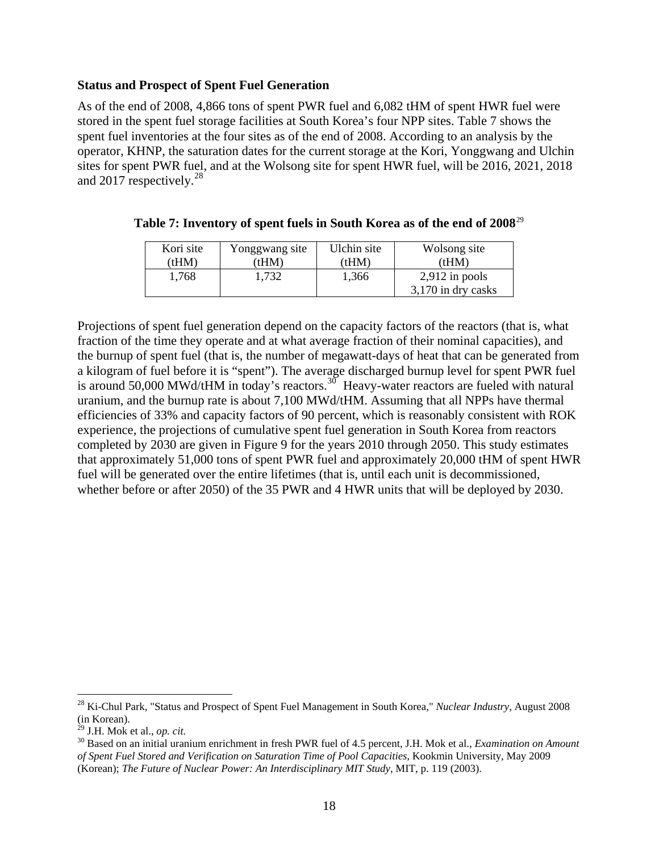## **Status and Prospect of Spent Fuel Generation**

As of the end of 2008, 4,866 tons of spent PWR fuel and 6,082 tHM of spent HWR fuel were stored in the spent fuel storage facilities at South Korea's four NPP sites. Table 7 shows the spent fuel inventories at the four sites as of the end of 2008. According to an analysis by the operator, KHNP, the saturation dates for the current storage at the Kori, Yonggwang and Ulchin sites for spent PWR fuel, and at the Wolsong site for spent HWR fuel, will be 2016, 2021, 2018 and 2017 respectively.<sup>[28](#page-17-0)</sup>

| Kori site | Yonggwang site | Ulchin site | Wolsong site       |
|-----------|----------------|-------------|--------------------|
| (HM)      | 'tHM)          | (HM)        | (tHM)              |
| 1.768     | 1.732          | 1,366       | $2,912$ in pools   |
|           |                |             | 3,170 in dry casks |

## **Table 7: Inventory of spent fuels in South Korea as of the end of 2008**[29](#page-17-1)

Projections of spent fuel generation depend on the capacity factors of the reactors (that is, what fraction of the time they operate and at what average fraction of their nominal capacities), and the burnup of spent fuel (that is, the number of megawatt-days of heat that can be generated from a kilogram of fuel before it is "spent"). The average discharged burnup level for spent PWR fuel is around 50,000 MWd/tHM in today's reactors.<sup>[30](#page-17-2)</sup> Heavy-water reactors are fueled with natural uranium, and the burnup rate is about 7,100 MWd/tHM. Assuming that all NPPs have thermal efficiencies of 33% and capacity factors of 90 percent, which is reasonably consistent with ROK experience, the projections of cumulative spent fuel generation in South Korea from reactors completed by 2030 are given in Figure 9 for the years 2010 through 2050. This study estimates that approximately 51,000 tons of spent PWR fuel and approximately 20,000 tHM of spent HWR fuel will be generated over the entire lifetimes (that is, until each unit is decommissioned, whether before or after 2050) of the 35 PWR and 4 HWR units that will be deployed by 2030.

<span id="page-17-0"></span><sup>28</sup> Ki-Chul Park, "Status and Prospect of Spent Fuel Management in South Korea," *Nuclear Industry*, August 2008 (in Korean).<br> $^{29}$  J.H. Mok et al., *op. cit.* 

<span id="page-17-1"></span>

<span id="page-17-2"></span><sup>&</sup>lt;sup>30</sup> Based on an initial uranium enrichment in fresh PWR fuel of 4.5 percent, J.H. Mok et al., *Examination on Amount of Spent Fuel Stored and Verification on Saturation Time of Pool Capacities*, Kookmin University, May 2009 (Korean); *The Future of Nuclear Power: An Interdisciplinary MIT Study*, MIT, p. 119 (2003).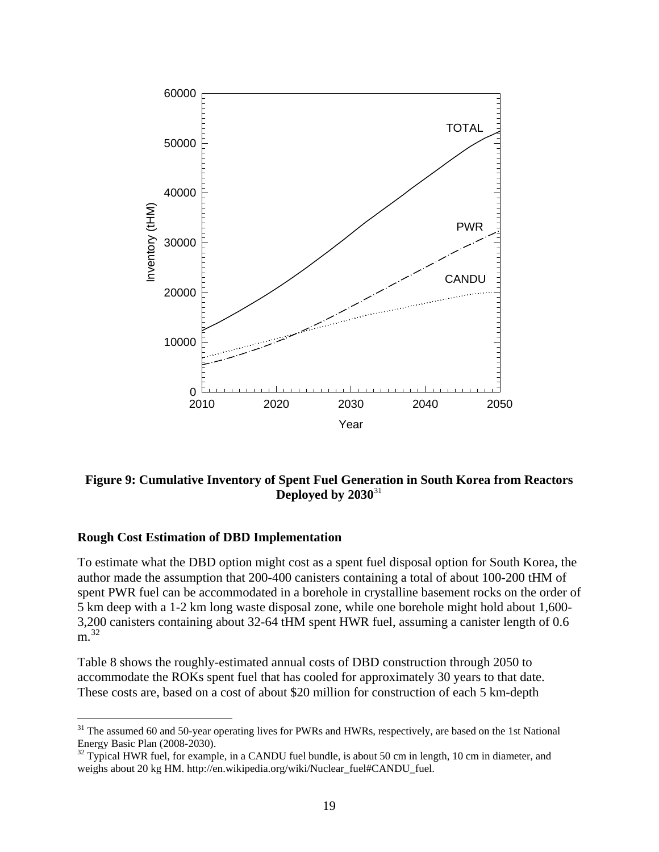

# **Figure 9: Cumulative Inventory of Spent Fuel Generation in South Korea from Reactors Deployed by 2030**[31](#page-18-0)

#### **Rough Cost Estimation of DBD Implementation**

 $\overline{a}$ 

To estimate what the DBD option might cost as a spent fuel disposal option for South Korea, the author made the assumption that 200-400 canisters containing a total of about 100-200 tHM of spent PWR fuel can be accommodated in a borehole in crystalline basement rocks on the order of 5 km deep with a 1-2 km long waste disposal zone, while one borehole might hold about 1,600- 3,200 canisters containing about 32-64 tHM spent HWR fuel, assuming a canister length of 0.6  $m<sup>32</sup>$  $m<sup>32</sup>$  $m<sup>32</sup>$ 

Table 8 shows the roughly-estimated annual costs of DBD construction through 2050 to accommodate the ROKs spent fuel that has cooled for approximately 30 years to that date. These costs are, based on a cost of about \$20 million for construction of each 5 km-depth

<span id="page-18-0"></span><sup>&</sup>lt;sup>31</sup> The assumed 60 and 50-year operating lives for PWRs and HWRs, respectively, are based on the 1st National Energy Basic Plan (2008-2030).

<span id="page-18-1"></span><sup>&</sup>lt;sup>32</sup> Typical HWR fuel, for example, in a CANDU fuel bundle, is about 50 cm in length, 10 cm in diameter, and weighs about 20 kg HM. http://en.wikipedia.org/wiki/Nuclear\_fuel#CANDU\_fuel.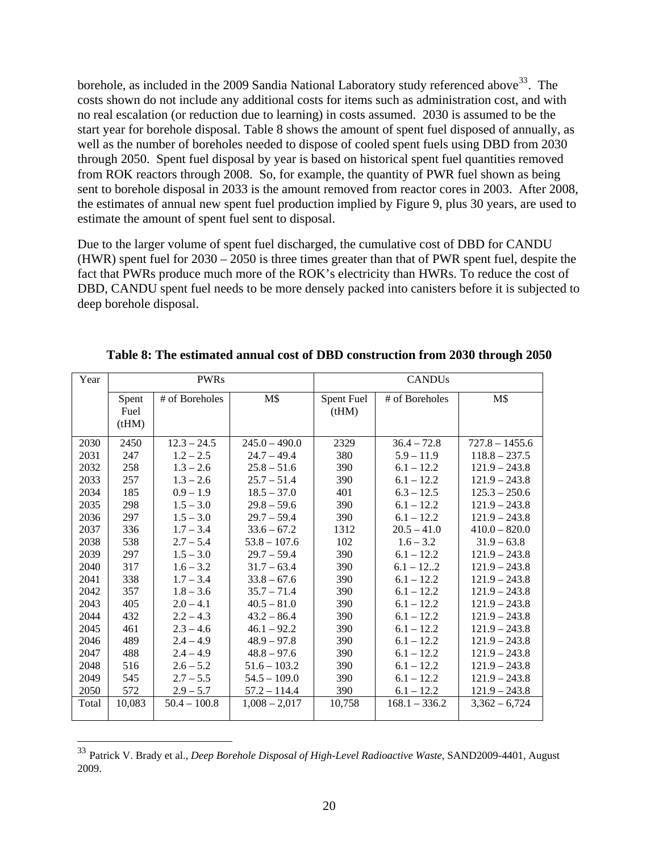borehole, as included in the 2009 Sandia National Laboratory study referenced above<sup>[33](#page-19-0)</sup>. The costs shown do not include any additional costs for items such as administration cost, and with no real escalation (or reduction due to learning) in costs assumed. 2030 is assumed to be the start year for borehole disposal. Table 8 shows the amount of spent fuel disposed of annually, as well as the number of boreholes needed to dispose of cooled spent fuels using DBD from 2030 through 2050. Spent fuel disposal by year is based on historical spent fuel quantities removed from ROK reactors through 2008. So, for example, the quantity of PWR fuel shown as being sent to borehole disposal in 2033 is the amount removed from reactor cores in 2003. After 2008, the estimates of annual new spent fuel production implied by Figure 9, plus 30 years, are used to estimate the amount of spent fuel sent to disposal.

Due to the larger volume of spent fuel discharged, the cumulative cost of DBD for CANDU (HWR) spent fuel for 2030 – 2050 is three times greater than that of PWR spent fuel, despite the fact that PWRs produce much more of the ROK's electricity than HWRs. To reduce the cost of DBD, CANDU spent fuel needs to be more densely packed into canisters before it is subjected to deep borehole disposal.

| Year  |        | <b>PWRs</b>    |                 | <b>CANDUs</b> |                 |                  |
|-------|--------|----------------|-----------------|---------------|-----------------|------------------|
|       | Spent  | # of Boreholes | M\$             | Spent Fuel    | # of Boreholes  | M\$              |
|       | Fuel   |                |                 | (tHM)         |                 |                  |
|       | (tHM)  |                |                 |               |                 |                  |
| 2030  | 2450   | $12.3 - 24.5$  | $245.0 - 490.0$ | 2329          | $36.4 - 72.8$   | $727.8 - 1455.6$ |
| 2031  | 247    | $1.2 - 2.5$    | $24.7 - 49.4$   | 380           | $5.9 - 11.9$    | $118.8 - 237.5$  |
| 2032  | 258    | $1.3 - 2.6$    | $25.8 - 51.6$   | 390           | $6.1 - 12.2$    | $121.9 - 243.8$  |
| 2033  | 257    | $1.3 - 2.6$    | $25.7 - 51.4$   | 390           | $6.1 - 12.2$    | $121.9 - 243.8$  |
| 2034  | 185    | $0.9 - 1.9$    | $18.5 - 37.0$   | 401           | $6.3 - 12.5$    | $125.3 - 250.6$  |
| 2035  | 298    | $1.5 - 3.0$    | $29.8 - 59.6$   | 390           | $6.1 - 12.2$    | $121.9 - 243.8$  |
| 2036  | 297    | $1.5 - 3.0$    | $29.7 - 59.4$   | 390           | $6.1 - 12.2$    | $121.9 - 243.8$  |
| 2037  | 336    | $1.7 - 3.4$    | $33.6 - 67.2$   | 1312          | $20.5 - 41.0$   | $410.0 - 820.0$  |
| 2038  | 538    | $2.7 - 5.4$    | $53.8 - 107.6$  | 102           | $1.6 - 3.2$     | $31.9 - 63.8$    |
| 2039  | 297    | $1.5 - 3.0$    | $29.7 - 59.4$   | 390           | $6.1 - 12.2$    | $121.9 - 243.8$  |
| 2040  | 317    | $1.6 - 3.2$    | $31.7 - 63.4$   | 390           | $6.1 - 122$     | $121.9 - 243.8$  |
| 2041  | 338    | $1.7 - 3.4$    | $33.8 - 67.6$   | 390           | $6.1 - 12.2$    | $121.9 - 243.8$  |
| 2042  | 357    | $1.8 - 3.6$    | $35.7 - 71.4$   | 390           | $6.1 - 12.2$    | $121.9 - 243.8$  |
| 2043  | 405    | $2.0 - 4.1$    | $40.5 - 81.0$   | 390           | $6.1 - 12.2$    | $121.9 - 243.8$  |
| 2044  | 432    | $2.2 - 4.3$    | $43.2 - 86.4$   | 390           | $6.1 - 12.2$    | $121.9 - 243.8$  |
| 2045  | 461    | $2.3 - 4.6$    | $46.1 - 92.2$   | 390           | $6.1 - 12.2$    | $121.9 - 243.8$  |
| 2046  | 489    | $2.4 - 4.9$    | $48.9 - 97.8$   | 390           | $6.1 - 12.2$    | $121.9 - 243.8$  |
| 2047  | 488    | $2.4 - 4.9$    | $48.8 - 97.6$   | 390           | $6.1 - 12.2$    | $121.9 - 243.8$  |
| 2048  | 516    | $2.6 - 5.2$    | $51.6 - 103.2$  | 390           | $6.1 - 12.2$    | $121.9 - 243.8$  |
| 2049  | 545    | $2.7 - 5.5$    | $54.5 - 109.0$  | 390           | $6.1 - 12.2$    | $121.9 - 243.8$  |
| 2050  | 572    | $2.9 - 5.7$    | $57.2 - 114.4$  | 390           | $6.1 - 12.2$    | $121.9 - 243.8$  |
| Total | 10,083 | $50.4 - 100.8$ | $1,008 - 2,017$ | 10,758        | $168.1 - 336.2$ | $3,362 - 6,724$  |

**Table 8: The estimated annual cost of DBD construction from 2030 through 2050** 

<span id="page-19-0"></span><sup>33</sup> Patrick V. Brady et al., *Deep Borehole Disposal of High-Level Radioactive Waste*, SAND2009-4401, August 2009.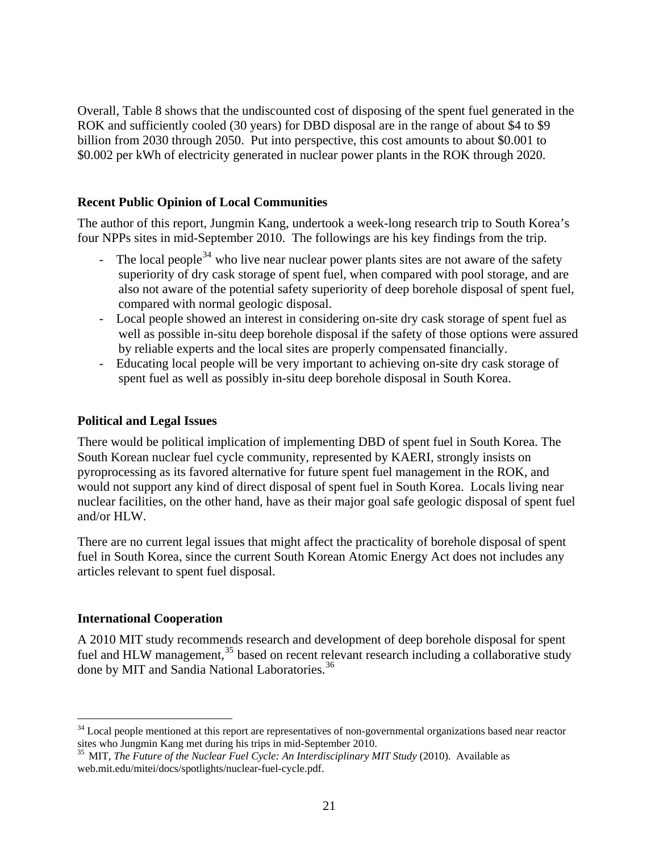Overall, Table 8 shows that the undiscounted cost of disposing of the spent fuel generated in the ROK and sufficiently cooled (30 years) for DBD disposal are in the range of about \$4 to \$9 billion from 2030 through 2050. Put into perspective, this cost amounts to about \$0.001 to \$0.002 per kWh of electricity generated in nuclear power plants in the ROK through 2020.

# **Recent Public Opinion of Local Communities**

The author of this report, Jungmin Kang, undertook a week-long research trip to South Korea's four NPPs sites in mid-September 2010. The followings are his key findings from the trip.

- The local people<sup>34</sup> who live near nuclear power plants sites are not aware of the safety superiority of dry cask storage of spent fuel, when compared with pool storage, and are also not aware of the potential safety superiority of deep borehole disposal of spent fuel, compared with normal geologic disposal.
- Local people showed an interest in considering on-site dry cask storage of spent fuel as well as possible in-situ deep borehole disposal if the safety of those options were assured by reliable experts and the local sites are properly compensated financially.
- Educating local people will be very important to achieving on-site dry cask storage of spent fuel as well as possibly in-situ deep borehole disposal in South Korea.

## **Political and Legal Issues**

There would be political implication of implementing DBD of spent fuel in South Korea. The South Korean nuclear fuel cycle community, represented by KAERI, strongly insists on pyroprocessing as its favored alternative for future spent fuel management in the ROK, and would not support any kind of direct disposal of spent fuel in South Korea. Locals living near nuclear facilities, on the other hand, have as their major goal safe geologic disposal of spent fuel and/or HLW.

There are no current legal issues that might affect the practicality of borehole disposal of spent fuel in South Korea, since the current South Korean Atomic Energy Act does not includes any articles relevant to spent fuel disposal.

## **International Cooperation**

<span id="page-20-2"></span> $\overline{a}$ 

A 2010 MIT study recommends research and development of deep borehole disposal for spent fuel and HLW management,<sup>[35](#page-20-1)</sup> based on recent relevant research including a collaborative study done by MIT and Sandia National Laboratories.<sup>[36](#page-20-2)</sup>

<span id="page-20-0"></span> $34$  Local people mentioned at this report are representatives of non-governmental organizations based near reactor sites who Jungmin Kang met during his trips in mid-September 2010. 35 MIT, *The Future of the Nuclear Fuel Cycle: An Interdisciplinary MIT Study* (2010). Available as

<span id="page-20-1"></span>web.mit.edu/mitei/docs/spotlights/nuclear-fuel-cycle.pdf.